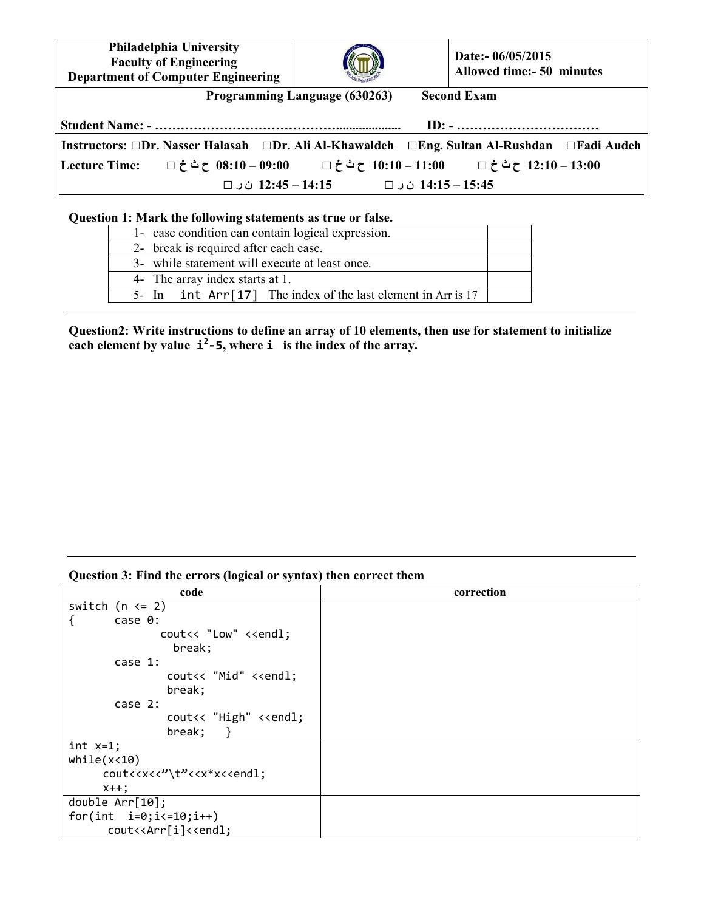| Philadelphia University<br><b>Faculty of Engineering</b><br><b>Department of Computer Engineering</b> |                     | Date:- 06/05/2015<br><b>Allowed time:- 50 minutes</b>                          |  |
|-------------------------------------------------------------------------------------------------------|---------------------|--------------------------------------------------------------------------------|--|
| Programming Language (630263)<br><b>Second Exam</b>                                                   |                     |                                                                                |  |
|                                                                                                       |                     | $ID: - \ldots \ldots \ldots \ldots \ldots \ldots \ldots \ldots \ldots$         |  |
| Instructors: □Dr. Nasser Halasah □Dr. Ali Al-Khawaldeh □Eng. Sultan Al-Rushdan □Fadi Audeh            |                     |                                                                                |  |
| <b>Lecture Time:</b>                                                                                  |                     | 08:10 – 12:10 ح ث خ □ 11:00 – 10:10 ح ث خ □ 5:00 – 09:00 ح ث خ □ 12:10 ح ث خ □ |  |
| 12:45 − 14:15 ن ر □                                                                                   | 14:15 – 14:15 ن ر □ |                                                                                |  |

 $\overline{\mathbf{1}}$ 

## **Question 1: Mark the following statements as true or false.**

 $\overline{1}$ 

| 1- case condition can contain logical expression.              |  |  |
|----------------------------------------------------------------|--|--|
| 2- break is required after each case.                          |  |  |
| 3- while statement will execute at least once.                 |  |  |
| 4- The array index starts at 1.                                |  |  |
| 5- In $int Arr[17]$ The index of the last element in Arr is 17 |  |  |

**Question2: Write instructions to define an array of 10 elements, then use for statement to initialize cach element by value**  $\mathbf{i}^2$ **-5, where**  $\mathbf{i}$  **is the index of the array.** 

## **Question 3: Find the errors (logical or syntax) then correct them**

| code                                                               | correction |
|--------------------------------------------------------------------|------------|
| switch $(n \leq 2)$                                                |            |
| case 0:                                                            |            |
| cout<< "Low" < <endl;< td=""><td></td></endl;<>                    |            |
| break;                                                             |            |
| case 1:                                                            |            |
| cout<< "Mid" < <endl;< td=""><td></td></endl;<>                    |            |
| break;                                                             |            |
| case $2:$                                                          |            |
| cout<< "High" < <endl;< td=""><td></td></endl;<>                   |            |
| break;                                                             |            |
| $int x=1;$                                                         |            |
| while(x<10)                                                        |            |
| cout< <x<<"\t"<<x*x<<endl;< td=""><td></td></x<<"\t"<<x*x<<endl;<> |            |
| $x++;$                                                             |            |
| double $Arr[10]$ ;                                                 |            |
| for(int $i=0; i<=10; i++)$                                         |            |
| cout< <arr[i]<<endl;< td=""><td></td></arr[i]<<endl;<>             |            |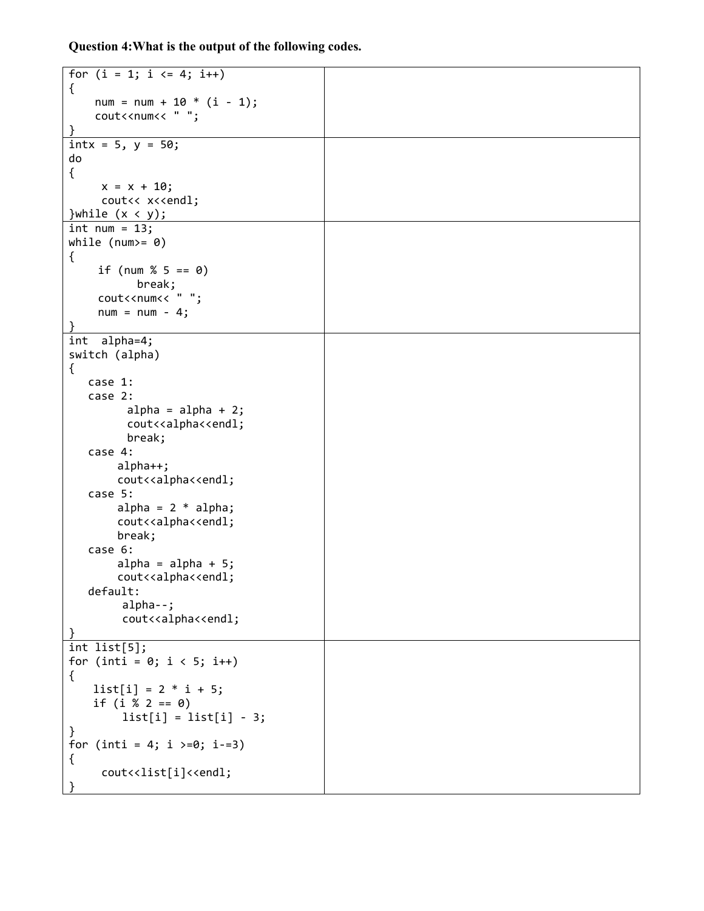**Question 4:What is the output of the following codes.** 

| for $(i = 1; i \le 4; i++)$                                   |  |
|---------------------------------------------------------------|--|
| €<br>$num = num + 10 * (i - 1);$                              |  |
| cout< <num<< "="" ";<="" td=""><td></td></num<<>              |  |
| }                                                             |  |
| $\text{int}x = 5, y = 50;$                                    |  |
| do                                                            |  |
| $\{$                                                          |  |
| $x = x + 10;$                                                 |  |
| cout<< x< <endl;< td=""><td></td></endl;<>                    |  |
| }while $(x < y)$ ;                                            |  |
| $int num = 13;$                                               |  |
| while (num>= $\theta$ )                                       |  |
| €                                                             |  |
| if (num % 5 == 0)                                             |  |
| break;                                                        |  |
| cout< <num<< "="" ";<="" td=""><td></td></num<<>              |  |
| $num = num - 4;$                                              |  |
| int alpha=4;                                                  |  |
| switch (alpha)                                                |  |
| $\{$                                                          |  |
| case 1:                                                       |  |
| case 2:                                                       |  |
| $alpha = alpha + 2;$                                          |  |
| cout< <alpha<<endl;< td=""><td></td></alpha<<endl;<>          |  |
| break;                                                        |  |
| case 4:                                                       |  |
| $alpha++;$                                                    |  |
| cout< <alpha<<endl;< td=""><td></td></alpha<<endl;<>          |  |
| case 5:                                                       |  |
| alpha = $2 * alpha;$                                          |  |
| cout< <alpha<<endl;< td=""><td></td></alpha<<endl;<>          |  |
| break;<br>case 6:                                             |  |
| $alpha = alpha + 5;$                                          |  |
| cout< <alpha<<endl;< td=""><td></td></alpha<<endl;<>          |  |
| default:                                                      |  |
| $alpha--;$                                                    |  |
| cout< <alpha<<endl;< td=""><td></td></alpha<<endl;<>          |  |
|                                                               |  |
| int list[5];                                                  |  |
| for (inti = $0; i < 5; i++)$                                  |  |
| €                                                             |  |
| $list[i] = 2 * i + 5;$                                        |  |
| if $(i % 2 == 0)$                                             |  |
| $list[i] = list[i] - 3;$                                      |  |
| }                                                             |  |
| for (inti = 4; i >=0; i-=3)                                   |  |
| ₹<br>cout< <list[i]<<endl;< td=""><td></td></list[i]<<endl;<> |  |
|                                                               |  |
|                                                               |  |